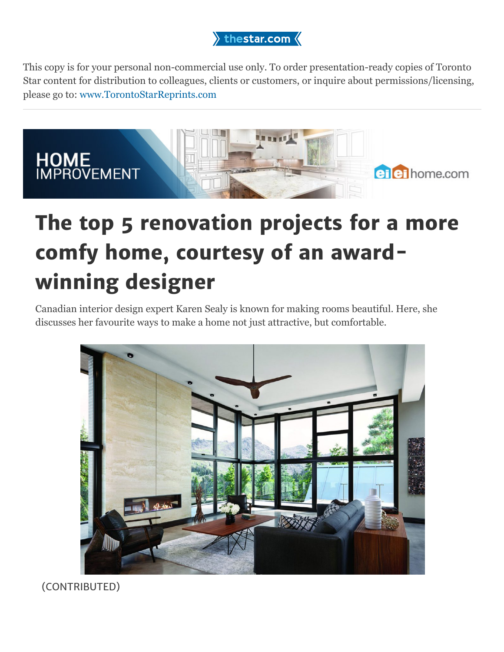

This copy is for your personal non-commercial use only. To order presentation-ready copies of Toronto Star content for distribution to colleagues, clients or customers, or inquire about permissions/licensing, please go to: [www.TorontoStarReprints.com](http://www.torontostarreprints.com/)



# **The top 5 renovation projects for a more comfy home, courtesy of an awardwinning designer**

Canadian interior design expert Karen Sealy is known for making rooms beautiful. Here, she discusses her favourite ways to make a home not just attractive, but comfortable.



(CONTRIBUTED)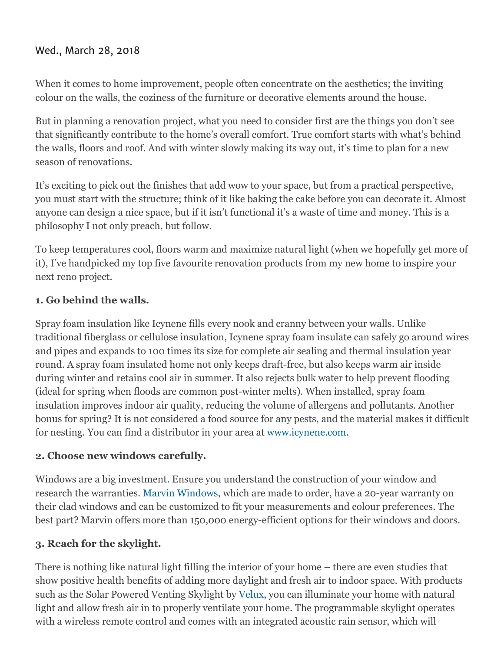## Wed., March 28, 2018

When it comes to home improvement, people often concentrate on the aesthetics; the inviting colour on the walls, the coziness of the furniture or decorative elements around the house.

But in planning a renovation project, what you need to consider first are the things you don't see that significantly contribute to the home's overall comfort. True comfort starts with what's behind the walls, floors and roof. And with winter slowly making its way out, it's time to plan for a new season of renovations.

It's exciting to pick out the finishes that add wow to your space, but from a practical perspective, you must start with the structure; think of it like baking the cake before you can decorate it. Almost anyone can design a nice space, but if it isn't functional it's a waste of time and money. This is a philosophy I not only preach, but follow.

To keep temperatures cool, floors warm and maximize natural light (when we hopefully get more of it), I've handpicked my top five favourite renovation products from my new home to inspire your next reno project.

## **1. Go behind the walls.**

Spray foam insulation like Icynene fills every nook and cranny between your walls. Unlike traditional fiberglass or cellulose insulation, Icynene spray foam insulate can safely go around wires and pipes and expands to 100 times its size for complete air sealing and thermal insulation year round. A spray foam insulated home not only keeps draft-free, but also keeps warm air inside during winter and retains cool air in summer. It also rejects bulk water to help prevent flooding (ideal for spring when floods are common post-winter melts). When installed, spray foam insulation improves indoor air quality, reducing the volume of allergens and pollutants. Another bonus for spring? It is not considered a food source for any pests, and the material makes it difficult for nesting. You can find a distributor in your area at [www.icynene.com.](http://www.icynene.com/)

#### **2. Choose new windows carefully.**

Windows are a big investment. Ensure you understand the construction of your window and research the warranties. [Marvin Windows,](http://www.marvincanada.com/) which are made to order, have a 20-year warranty on their clad windows and can be customized to fit your measurements and colour preferences. The best part? Marvin offers more than 150,000 energy-efficient options for their windows and doors.

## **3. Reach for the skylight.**

There is nothing like natural light filling the interior of your home – there are even studies that show positive health benefits of adding more daylight and fresh air to indoor space. With products such as the Solar Powered Venting Skylight by [Velux,](http://www.velux.ca/) you can illuminate your home with natural light and allow fresh air in to properly ventilate your home. The programmable skylight operates with a wireless remote control and comes with an integrated acoustic rain sensor, which will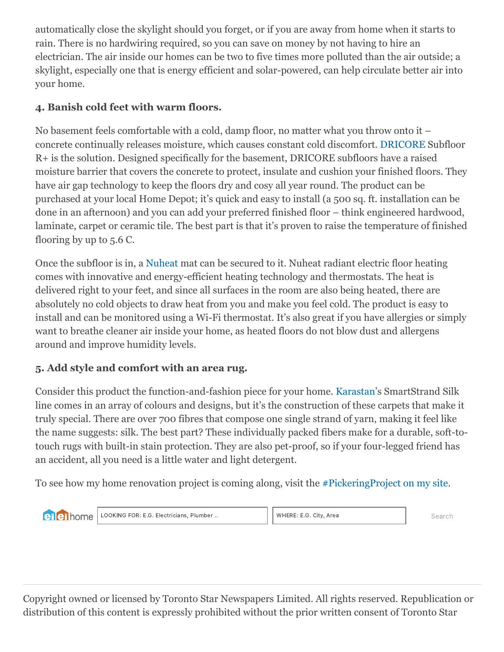automatically close the skylight should you forget, or if you are away from home when it starts to rain. There is no hardwiring required, so you can save on money by not having to hire an electrician. The air inside our homes can be two to five times more polluted than the air outside; a skylight, especially one that is energy efficient and solar-powered, can help circulate better air into your home.

# **4. Banish cold feet with warm floors.**

No basement feels comfortable with a cold, damp floor, no matter what you throw onto it – concrete continually releases moisture, which causes constant cold discomfort. [DRICORE](http://www.dricore.com/) Subfloor R+ is the solution. Designed specifically for the basement, DRICORE subfloors have a raised moisture barrier that covers the concrete to protect, insulate and cushion your finished floors. They have air gap technology to keep the floors dry and cosy all year round. The product can be purchased at your local Home Depot; it's quick and easy to install (a 500 sq. ft. installation can be done in an afternoon) and you can add your preferred finished floor – think engineered hardwood, laminate, carpet or ceramic tile. The best part is that it's proven to raise the temperature of finished flooring by up to 5.6 C.

Once the subfloor is in, a [Nuheat](http://www.nuheat.com/) mat can be secured to it. Nuheat radiant electric floor heating comes with innovative and energy-efficient heating technology and thermostats. The heat is delivered right to your feet, and since all surfaces in the room are also being heated, there are absolutely no cold objects to draw heat from you and make you feel cold. The product is easy to install and can be monitored using a Wi-Fi thermostat. It's also great if you have allergies or simply want to breathe cleaner air inside your home, as heated floors do not blow dust and allergens around and improve humidity levels.

# **5. Add style and comfort with an area rug.**

Consider this product the function-and-fashion piece for your home. [Karastan'](http://www.mohawkhome.com/)s SmartStrand Silk line comes in an array of colours and designs, but it's the construction of these carpets that make it truly special. There are over 700 fibres that compose one single strand of yarn, making it feel like the name suggests: silk. The best part? These individually packed fibers make for a durable, soft-totouch rugs with built-in stain protection. They are also pet-proof, so if your four-legged friend has an accident, all you need is a little water and light detergent.

To see how my home renovation project is coming along, visit the [#PickeringProject on my site](http://www.justgoodstuff.ca/pickering-project-welcome/).

**ei** ei home

LOOKING FOR: E.G. Electricians, Plumber .. WHERE: E.G. City, Area Search

Copyright owned or licensed by Toronto Star Newspapers Limited. All rights reserved. Republication or distribution of this content is expressly prohibited without the prior written consent of Toronto Star